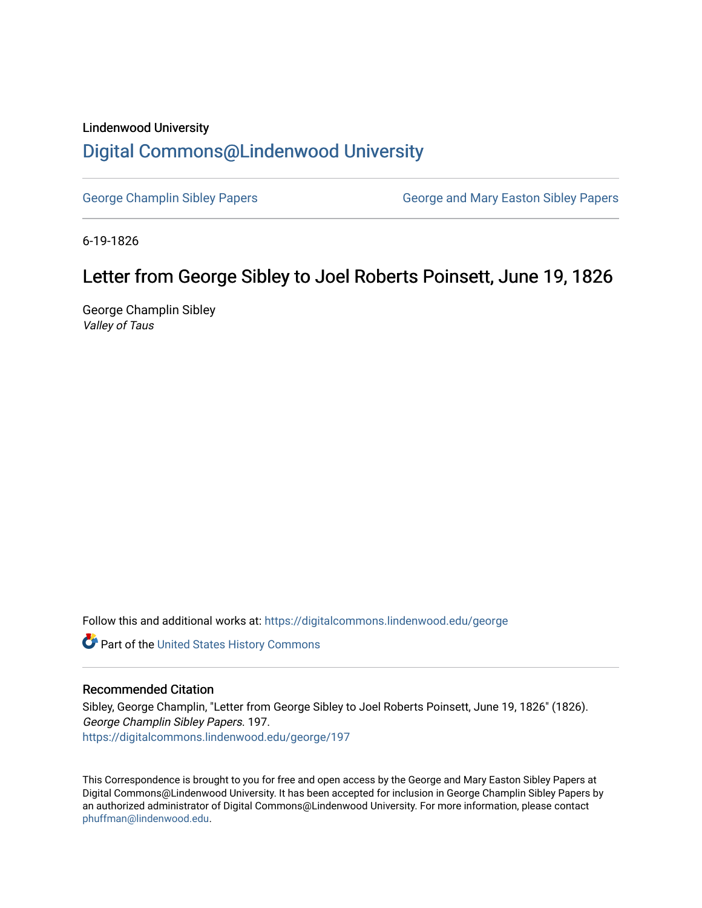## Lindenwood University

## [Digital Commons@Lindenwood University](https://digitalcommons.lindenwood.edu/)

[George Champlin Sibley Papers](https://digitalcommons.lindenwood.edu/george) George and Mary Easton Sibley Papers

6-19-1826

## Letter from George Sibley to Joel Roberts Poinsett, June 19, 1826

George Champlin Sibley Valley of Taus

Follow this and additional works at: [https://digitalcommons.lindenwood.edu/george](https://digitalcommons.lindenwood.edu/george?utm_source=digitalcommons.lindenwood.edu%2Fgeorge%2F197&utm_medium=PDF&utm_campaign=PDFCoverPages)

Part of the [United States History Commons](http://network.bepress.com/hgg/discipline/495?utm_source=digitalcommons.lindenwood.edu%2Fgeorge%2F197&utm_medium=PDF&utm_campaign=PDFCoverPages) 

## Recommended Citation

Sibley, George Champlin, "Letter from George Sibley to Joel Roberts Poinsett, June 19, 1826" (1826). George Champlin Sibley Papers. 197. [https://digitalcommons.lindenwood.edu/george/197](https://digitalcommons.lindenwood.edu/george/197?utm_source=digitalcommons.lindenwood.edu%2Fgeorge%2F197&utm_medium=PDF&utm_campaign=PDFCoverPages)

This Correspondence is brought to you for free and open access by the George and Mary Easton Sibley Papers at Digital Commons@Lindenwood University. It has been accepted for inclusion in George Champlin Sibley Papers by an authorized administrator of Digital Commons@Lindenwood University. For more information, please contact [phuffman@lindenwood.edu](mailto:phuffman@lindenwood.edu).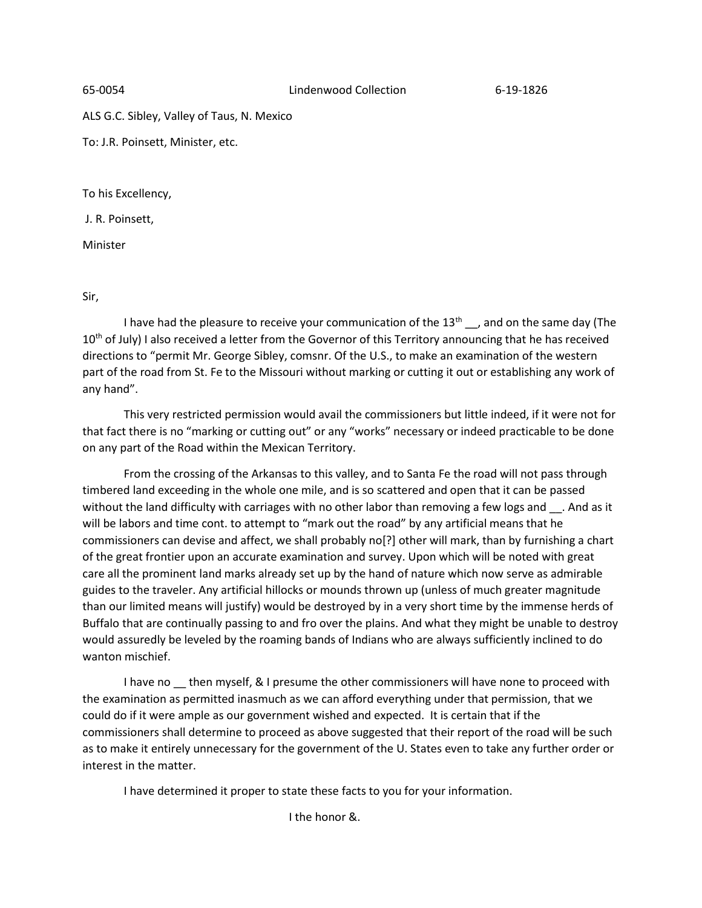ALS G.C. Sibley, Valley of Taus, N. Mexico

To: J.R. Poinsett, Minister, etc.

To his Excellency,

J. R. Poinsett,

Minister

Sir,

I have had the pleasure to receive your communication of the  $13<sup>th</sup>$ , and on the same day (The 10<sup>th</sup> of July) I also received a letter from the Governor of this Territory announcing that he has received directions to "permit Mr. George Sibley, comsnr. Of the U.S., to make an examination of the western part of the road from St. Fe to the Missouri without marking or cutting it out or establishing any work of any hand".

This very restricted permission would avail the commissioners but little indeed, if it were not for that fact there is no "marking or cutting out" or any "works" necessary or indeed practicable to be done on any part of the Road within the Mexican Territory.

From the crossing of the Arkansas to this valley, and to Santa Fe the road will not pass through timbered land exceeding in the whole one mile, and is so scattered and open that it can be passed without the land difficulty with carriages with no other labor than removing a few logs and . And as it will be labors and time cont. to attempt to "mark out the road" by any artificial means that he commissioners can devise and affect, we shall probably no[?] other will mark, than by furnishing a chart of the great frontier upon an accurate examination and survey. Upon which will be noted with great care all the prominent land marks already set up by the hand of nature which now serve as admirable guides to the traveler. Any artificial hillocks or mounds thrown up (unless of much greater magnitude than our limited means will justify) would be destroyed by in a very short time by the immense herds of Buffalo that are continually passing to and fro over the plains. And what they might be unable to destroy would assuredly be leveled by the roaming bands of Indians who are always sufficiently inclined to do wanton mischief.

I have no then myself, & I presume the other commissioners will have none to proceed with the examination as permitted inasmuch as we can afford everything under that permission, that we could do if it were ample as our government wished and expected. It is certain that if the commissioners shall determine to proceed as above suggested that their report of the road will be such as to make it entirely unnecessary for the government of the U. States even to take any further order or interest in the matter.

I have determined it proper to state these facts to you for your information.

I the honor &.